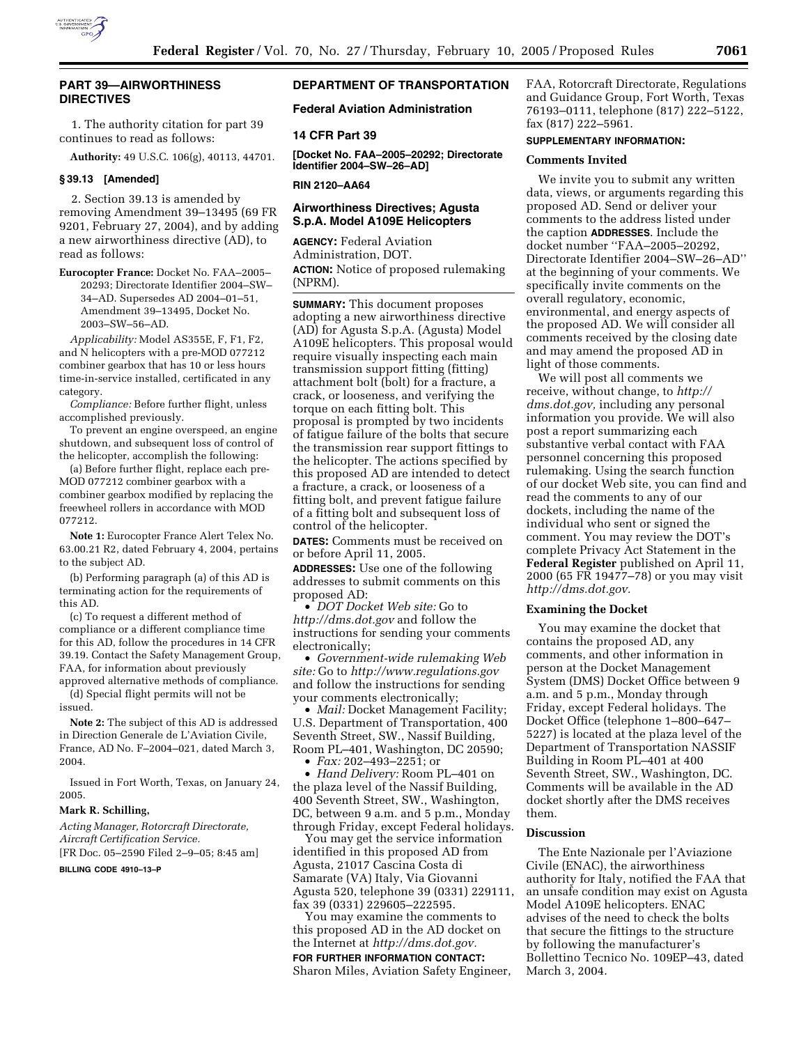

## **PART 39—AIRWORTHINESS DIRECTIVES**

1. The authority citation for part 39 continues to read as follows:

**Authority:** 49 U.S.C. 106(g), 40113, 44701.

## **§ 39.13 [Amended]**

2. Section 39.13 is amended by removing Amendment 39–13495 (69 FR 9201, February 27, 2004), and by adding a new airworthiness directive (AD), to read as follows:

**Eurocopter France:** Docket No. FAA–2005– 20293; Directorate Identifier 2004–SW– 34–AD. Supersedes AD 2004–01–51, Amendment 39–13495, Docket No. 2003–SW–56–AD.

*Applicability:* Model AS355E, F, F1, F2, and N helicopters with a pre-MOD 077212 combiner gearbox that has 10 or less hours time-in-service installed, certificated in any category.

*Compliance:* Before further flight, unless accomplished previously.

To prevent an engine overspeed, an engine shutdown, and subsequent loss of control of the helicopter, accomplish the following:

(a) Before further flight, replace each pre-MOD 077212 combiner gearbox with a combiner gearbox modified by replacing the freewheel rollers in accordance with MOD 077212.

**Note 1:** Eurocopter France Alert Telex No. 63.00.21 R2, dated February 4, 2004, pertains to the subject AD.

(b) Performing paragraph (a) of this AD is terminating action for the requirements of this AD.

(c) To request a different method of compliance or a different compliance time for this AD, follow the procedures in 14 CFR 39.19. Contact the Safety Management Group, FAA, for information about previously

approved alternative methods of compliance. (d) Special flight permits will not be issued.

**Note 2:** The subject of this AD is addressed in Direction Generale de L'Aviation Civile, France, AD No. F–2004–021, dated March 3, 2004.

Issued in Fort Worth, Texas, on January 24, 2005.

#### **Mark R. Schilling,**

*Acting Manager, Rotorcraft Directorate, Aircraft Certification Service.*

[FR Doc. 05–2590 Filed 2–9–05; 8:45 am]

**BILLING CODE 4910–13–P**

# **DEPARTMENT OF TRANSPORTATION**

**Federal Aviation Administration** 

#### **14 CFR Part 39**

**[Docket No. FAA–2005–20292; Directorate Identifier 2004–SW–26–AD]** 

### **RIN 2120–AA64**

## **Airworthiness Directives; Agusta S.p.A. Model A109E Helicopters**

**AGENCY:** Federal Aviation Administration, DOT. **ACTION:** Notice of proposed rulemaking (NPRM).

**SUMMARY:** This document proposes adopting a new airworthiness directive (AD) for Agusta S.p.A. (Agusta) Model A109E helicopters. This proposal would require visually inspecting each main transmission support fitting (fitting) attachment bolt (bolt) for a fracture, a crack, or looseness, and verifying the torque on each fitting bolt. This proposal is prompted by two incidents of fatigue failure of the bolts that secure the transmission rear support fittings to the helicopter. The actions specified by this proposed AD are intended to detect a fracture, a crack, or looseness of a fitting bolt, and prevent fatigue failure of a fitting bolt and subsequent loss of control of the helicopter.

**DATES:** Comments must be received on or before April 11, 2005.

**ADDRESSES:** Use one of the following addresses to submit comments on this proposed AD:

• *DOT Docket Web site:* Go to *http://dms.dot.gov* and follow the instructions for sending your comments electronically;

• *Government-wide rulemaking Web site:* Go to *http://www.regulations.gov* and follow the instructions for sending your comments electronically;

• *Mail:* Docket Management Facility; U.S. Department of Transportation, 400 Seventh Street, SW., Nassif Building, Room PL–401, Washington, DC 20590;

• *Fax:* 202–493–2251; or

• *Hand Delivery:* Room PL–401 on the plaza level of the Nassif Building, 400 Seventh Street, SW., Washington, DC, between 9 a.m. and 5 p.m., Monday through Friday, except Federal holidays.

You may get the service information identified in this proposed AD from Agusta, 21017 Cascina Costa di Samarate (VA) Italy, Via Giovanni Agusta 520, telephone 39 (0331) 229111, fax 39 (0331) 229605–222595.

You may examine the comments to this proposed AD in the AD docket on the Internet at *http://dms.dot.gov.* **FOR FURTHER INFORMATION CONTACT:** Sharon Miles, Aviation Safety Engineer, FAA, Rotorcraft Directorate, Regulations and Guidance Group, Fort Worth, Texas 76193–0111, telephone (817) 222–5122, fax (817) 222–5961.

### **SUPPLEMENTARY INFORMATION:**

### **Comments Invited**

We invite you to submit any written data, views, or arguments regarding this proposed AD. Send or deliver your comments to the address listed under the caption **ADDRESSES**. Include the docket number ''FAA–2005–20292, Directorate Identifier 2004–SW–26–AD'' at the beginning of your comments. We specifically invite comments on the overall regulatory, economic, environmental, and energy aspects of the proposed AD. We will consider all comments received by the closing date and may amend the proposed AD in light of those comments.

We will post all comments we receive, without change, to *http:// dms.dot.gov,* including any personal information you provide. We will also post a report summarizing each substantive verbal contact with FAA personnel concerning this proposed rulemaking. Using the search function of our docket Web site, you can find and read the comments to any of our dockets, including the name of the individual who sent or signed the comment. You may review the DOT's complete Privacy Act Statement in the **Federal Register** published on April 11, 2000 (65 FR 19477–78) or you may visit *http://dms.dot.gov.*

### **Examining the Docket**

You may examine the docket that contains the proposed AD, any comments, and other information in person at the Docket Management System (DMS) Docket Office between 9 a.m. and 5 p.m., Monday through Friday, except Federal holidays. The Docket Office (telephone 1–800–647– 5227) is located at the plaza level of the Department of Transportation NASSIF Building in Room PL–401 at 400 Seventh Street, SW., Washington, DC. Comments will be available in the AD docket shortly after the DMS receives them.

#### **Discussion**

The Ente Nazionale per l'Aviazione Civile (ENAC), the airworthiness authority for Italy, notified the FAA that an unsafe condition may exist on Agusta Model A109E helicopters. ENAC advises of the need to check the bolts that secure the fittings to the structure by following the manufacturer's Bollettino Tecnico No. 109EP–43, dated March 3, 2004.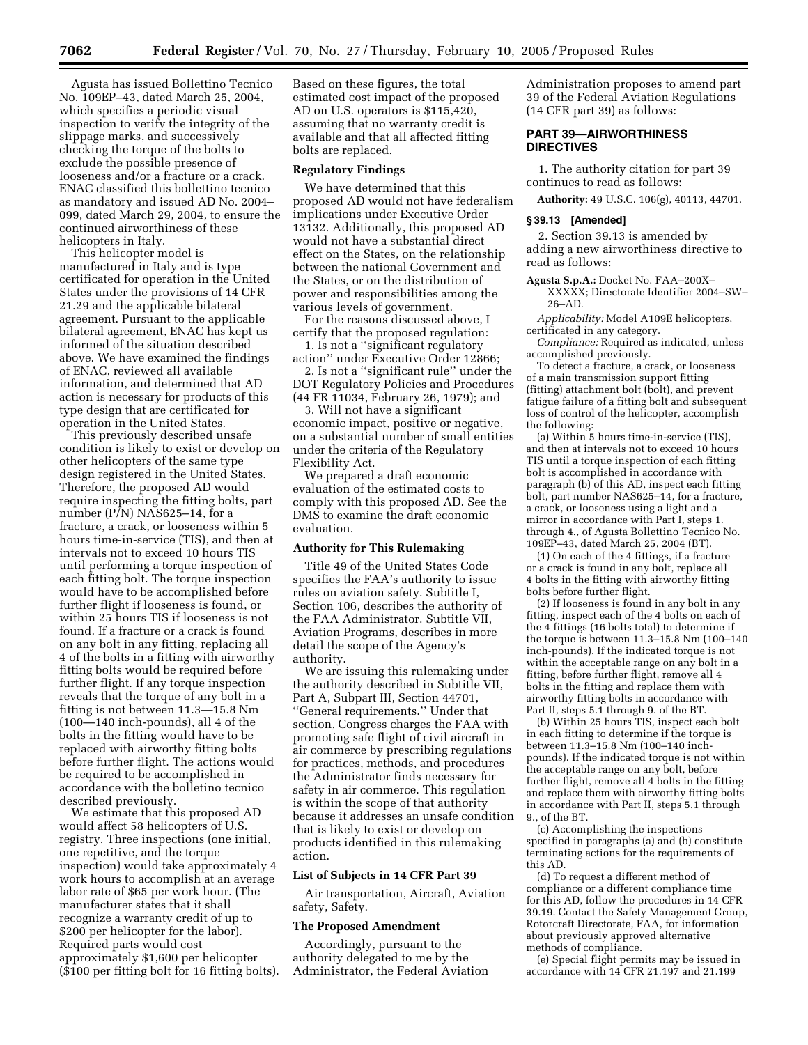Agusta has issued Bollettino Tecnico No. 109EP–43, dated March 25, 2004, which specifies a periodic visual inspection to verify the integrity of the slippage marks, and successively checking the torque of the bolts to exclude the possible presence of looseness and/or a fracture or a crack. ENAC classified this bollettino tecnico as mandatory and issued AD No. 2004– 099, dated March 29, 2004, to ensure the continued airworthiness of these helicopters in Italy.

This helicopter model is manufactured in Italy and is type certificated for operation in the United States under the provisions of 14 CFR 21.29 and the applicable bilateral agreement. Pursuant to the applicable bilateral agreement, ENAC has kept us informed of the situation described above. We have examined the findings of ENAC, reviewed all available information, and determined that AD action is necessary for products of this type design that are certificated for operation in the United States.

This previously described unsafe condition is likely to exist or develop on other helicopters of the same type design registered in the United States. Therefore, the proposed AD would require inspecting the fitting bolts, part number (P/N) NAS625–14, for a fracture, a crack, or looseness within 5 hours time-in-service (TIS), and then at intervals not to exceed 10 hours TIS until performing a torque inspection of each fitting bolt. The torque inspection would have to be accomplished before further flight if looseness is found, or within 25 hours TIS if looseness is not found. If a fracture or a crack is found on any bolt in any fitting, replacing all 4 of the bolts in a fitting with airworthy fitting bolts would be required before further flight. If any torque inspection reveals that the torque of any bolt in a fitting is not between 11.3—15.8 Nm (100—140 inch-pounds), all 4 of the bolts in the fitting would have to be replaced with airworthy fitting bolts before further flight. The actions would be required to be accomplished in accordance with the bolletino tecnico described previously.

We estimate that this proposed AD would affect 58 helicopters of U.S. registry. Three inspections (one initial, one repetitive, and the torque inspection) would take approximately 4 work hours to accomplish at an average labor rate of \$65 per work hour. (The manufacturer states that it shall recognize a warranty credit of up to \$200 per helicopter for the labor). Required parts would cost approximately \$1,600 per helicopter (\$100 per fitting bolt for 16 fitting bolts).

Based on these figures, the total estimated cost impact of the proposed AD on U.S. operators is \$115,420, assuming that no warranty credit is available and that all affected fitting bolts are replaced.

#### **Regulatory Findings**

We have determined that this proposed AD would not have federalism implications under Executive Order 13132. Additionally, this proposed AD would not have a substantial direct effect on the States, on the relationship between the national Government and the States, or on the distribution of power and responsibilities among the various levels of government.

For the reasons discussed above, I certify that the proposed regulation:

1. Is not a ''significant regulatory action'' under Executive Order 12866;

2. Is not a ''significant rule'' under the DOT Regulatory Policies and Procedures (44 FR 11034, February 26, 1979); and

3. Will not have a significant economic impact, positive or negative, on a substantial number of small entities under the criteria of the Regulatory Flexibility Act.

We prepared a draft economic evaluation of the estimated costs to comply with this proposed AD. See the DMS to examine the draft economic evaluation.

### **Authority for This Rulemaking**

Title 49 of the United States Code specifies the FAA's authority to issue rules on aviation safety. Subtitle I, Section 106, describes the authority of the FAA Administrator. Subtitle VII, Aviation Programs, describes in more detail the scope of the Agency's authority.

We are issuing this rulemaking under the authority described in Subtitle VII, Part A, Subpart III, Section 44701, ''General requirements.'' Under that section, Congress charges the FAA with promoting safe flight of civil aircraft in air commerce by prescribing regulations for practices, methods, and procedures the Administrator finds necessary for safety in air commerce. This regulation is within the scope of that authority because it addresses an unsafe condition that is likely to exist or develop on products identified in this rulemaking action.

#### **List of Subjects in 14 CFR Part 39**

Air transportation, Aircraft, Aviation safety, Safety.

#### **The Proposed Amendment**

Accordingly, pursuant to the authority delegated to me by the Administrator, the Federal Aviation Administration proposes to amend part 39 of the Federal Aviation Regulations (14 CFR part 39) as follows:

#### **PART 39—AIRWORTHINESS DIRECTIVES**

1. The authority citation for part 39 continues to read as follows:

**Authority:** 49 U.S.C. 106(g), 40113, 44701.

## **§ 39.13 [Amended]**

2. Section 39.13 is amended by adding a new airworthiness directive to read as follows:

**Agusta S.p.A.:** Docket No. FAA–200X– XXXXX; Directorate Identifier 2004–SW– 26–AD.

*Applicability:* Model A109E helicopters, certificated in any category.

*Compliance:* Required as indicated, unless accomplished previously.

To detect a fracture, a crack, or looseness of a main transmission support fitting (fitting) attachment bolt (bolt), and prevent fatigue failure of a fitting bolt and subsequent loss of control of the helicopter, accomplish the following:

(a) Within 5 hours time-in-service (TIS), and then at intervals not to exceed 10 hours TIS until a torque inspection of each fitting bolt is accomplished in accordance with paragraph (b) of this AD, inspect each fitting bolt, part number NAS625–14, for a fracture, a crack, or looseness using a light and a mirror in accordance with Part I, steps 1. through 4., of Agusta Bollettino Tecnico No. 109EP–43, dated March 25, 2004 (BT).

(1) On each of the 4 fittings, if a fracture or a crack is found in any bolt, replace all 4 bolts in the fitting with airworthy fitting bolts before further flight.

(2) If looseness is found in any bolt in any fitting, inspect each of the 4 bolts on each of the 4 fittings (16 bolts total) to determine if the torque is between 11.3–15.8 Nm (100–140 inch-pounds). If the indicated torque is not within the acceptable range on any bolt in a fitting, before further flight, remove all 4 bolts in the fitting and replace them with airworthy fitting bolts in accordance with Part II, steps 5.1 through 9. of the BT.

(b) Within 25 hours TIS, inspect each bolt in each fitting to determine if the torque is between 11.3–15.8 Nm (100–140 inchpounds). If the indicated torque is not within the acceptable range on any bolt, before further flight, remove all 4 bolts in the fitting and replace them with airworthy fitting bolts in accordance with Part II, steps 5.1 through 9., of the BT.

(c) Accomplishing the inspections specified in paragraphs (a) and (b) constitute terminating actions for the requirements of this AD.

(d) To request a different method of compliance or a different compliance time for this AD, follow the procedures in 14 CFR 39.19. Contact the Safety Management Group, Rotorcraft Directorate, FAA, for information about previously approved alternative methods of compliance.

(e) Special flight permits may be issued in accordance with 14 CFR 21.197 and 21.199